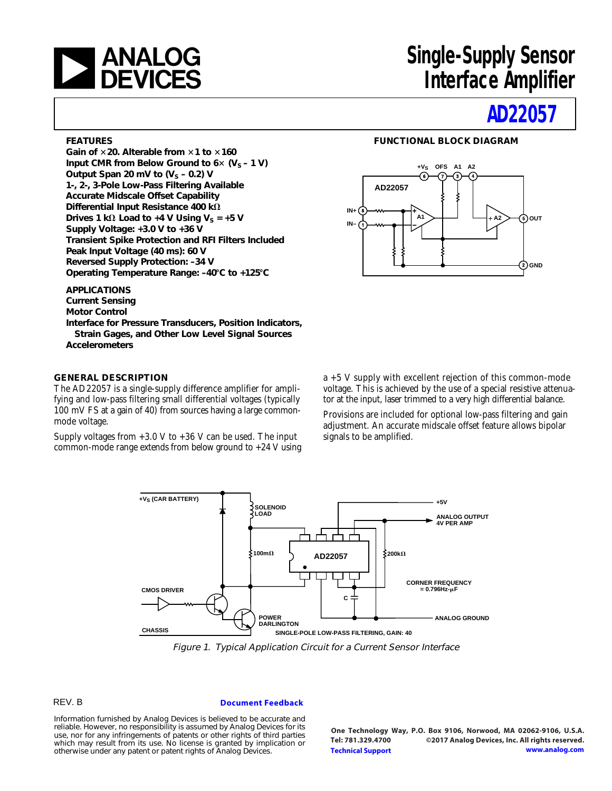

# **[a](http://www.analog.com)nd Single-Supply Sensor<br>
a DEVICES** Manuface Amplifier **Interface Amplifier**

# **[AD22057](http://www.analog.com/ad22057?doc=ad22057.pdf)**

#### **FEATURES**

**Gain of** 3**20. Alterable from** 3**1 to** 3**160** Input CMR from Below Ground to  $6 \times (V_S - 1 V)$ Output Span 20 mV to  $(V<sub>S</sub> - 0.2)$  V **1-, 2-, 3-Pole Low-Pass Filtering Available Accurate Midscale Offset Capability** Differential Input Resistance 400 k $\Omega$ **Drives 1 k** $\Omega$  **Load to +4 V Using V<sub>S</sub> = +5 V Supply Voltage: +3.0 V to +36 V Transient Spike Protection and RFI Filters Included Peak Input Voltage (40 ms): 60 V Reversed Supply Protection: –34 V Operating Temperature Range: –40**8**C to +125**8**C**

**APPLICATIONS Current Sensing Motor Control Interface for Pressure Transducers, Position Indicators, Strain Gages, and Other Low Level Signal Sources Accelerometers**

### **GENERAL DESCRIPTION**

The AD22057 is a single-supply difference amplifier for amplifying and low-pass filtering small differential voltages (typically 100 mV FS at a gain of 40) from sources having a large commonmode voltage.

Supply voltages from  $+3.0$  V to  $+36$  V can be used. The input common-mode range extends from below ground to  $+24$  V using



**FUNCTIONAL BLOCK DIAGRAM**

a +5 V supply with excellent rejection of this common-mode voltage. This is achieved by the use of a special resistive attenuator at the input, laser trimmed to a very high differential balance.

Provisions are included for optional low-pass filtering and gain adjustment. An accurate midscale offset feature allows bipolar signals to be amplified.



Figure 1. Typical Application Circuit for a Current Sensor Interface

### REV. B

#### **[Document Feedback](https://form.analog.com/Form_Pages/feedback/documentfeedback.aspx?doc=AD22057.pdf&product=AD22057&rev=B)**

Information furnished by Analog Devices is believed to be accurate and reliable. However, no responsibility is assumed by Analog Devices for its use, nor for any infringements of patents or other rights of third parties which may result from its use. No license is granted by implication or otherwise under any patent or patent rights of Analog Devices.

**One Technology Way, P.O. Box 9106, Norwood, MA 02062-9106, U.S.A. Tel: 781.329.4700 ©2017 Analog Devices, Inc. All rights reserved. [Technical Support](http://www.analog.com/en/content/technical_support_page/fca.html) [www.analog.com](http://www.analog.com)**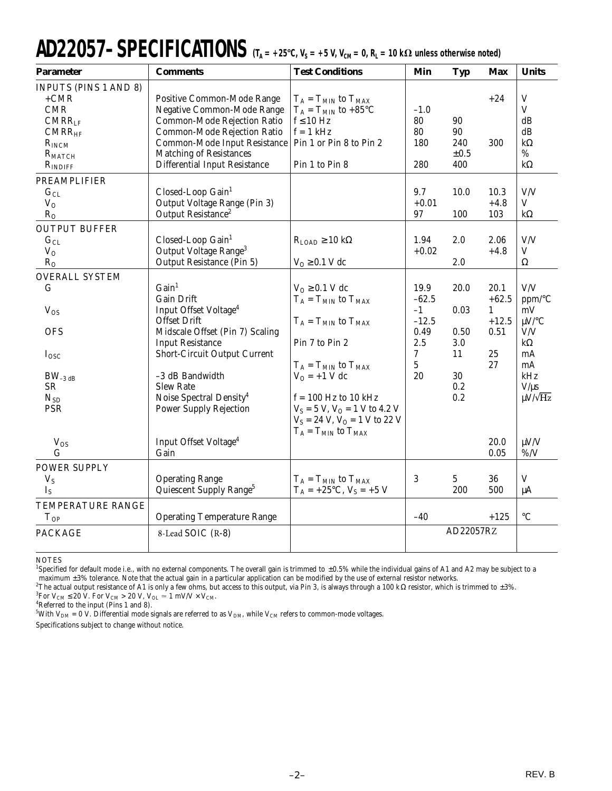# $AD22057-SPECT FICATIONS$   $(T_A = +25^{\circ}C, V_S = +5 V, V_{CM} = 0, R_L = 10 k\Omega$  unless otherwise noted)

| <b>Parameter</b>                                                                                                                                | <b>Comments</b>                                                                                                                                                                                                                                                                                                 | <b>Test Conditions</b>                                                                                                                                                                                                                                       | Min                                                               | <b>Typ</b>                                            | Max                                                                | <b>Units</b>                                                                                                               |
|-------------------------------------------------------------------------------------------------------------------------------------------------|-----------------------------------------------------------------------------------------------------------------------------------------------------------------------------------------------------------------------------------------------------------------------------------------------------------------|--------------------------------------------------------------------------------------------------------------------------------------------------------------------------------------------------------------------------------------------------------------|-------------------------------------------------------------------|-------------------------------------------------------|--------------------------------------------------------------------|----------------------------------------------------------------------------------------------------------------------------|
| <b>INPUTS (PINS 1 AND 8)</b><br>$+CMR$<br>CMR<br>$CMRR$ <sub>LF</sub><br>CMRR <sub>HF</sub><br>$R_{INCM}$<br>$R_{\text{MATCH}}$<br>$R_{INDIFF}$ | Positive Common-Mode Range<br>Negative Common-Mode Range<br>Common-Mode Rejection Ratio<br>Common-Mode Rejection Ratio<br>Common-Mode Input Resistance<br><b>Matching of Resistances</b><br><b>Differential Input Resistance</b>                                                                                | $T_A = T_{MIN}$ to $T_{MAX}$<br>$T_A = T_{MIN}$ to +85°C<br>$f \leq 10$ Hz<br>$f = 1$ kHz<br>Pin 1 or Pin 8 to Pin 2<br>Pin 1 to Pin 8                                                                                                                       | $-1.0$<br>80<br>80<br>180<br>280                                  | 90<br>90<br>240<br>$\pm 0.5$<br>400                   | $+24$<br>300                                                       | $\mathbf V$<br>V<br>dB<br>dB<br>$k\Omega$<br>$\%$<br>$k\Omega$                                                             |
| <b>PREAMPLIFIER</b><br>$G_{CL}$<br>$V_{O}$<br>$R_{O}$                                                                                           | Closed-Loop Gain <sup>1</sup><br>Output Voltage Range (Pin 3)<br>Output Resistance <sup>2</sup>                                                                                                                                                                                                                 |                                                                                                                                                                                                                                                              | 9.7<br>$+0.01$<br>97                                              | 10.0<br>100                                           | 10.3<br>$+4.8$<br>103                                              | V/V<br>V<br>$k\Omega$                                                                                                      |
| <b>OUTPUT BUFFER</b><br>$G_{CL}$<br>$V_{O}$<br>$R_{O}$                                                                                          | Closed-Loop Gain <sup>1</sup><br>Output Voltage Range <sup>3</sup><br>Output Resistance (Pin 5)                                                                                                                                                                                                                 | $R_{LOAD} \ge 10 k\Omega$<br>$V_0 \geq 0.1$ V dc                                                                                                                                                                                                             | 1.94<br>$+0.02$                                                   | 2.0<br>2.0                                            | 2.06<br>$+4.8$                                                     | V/V<br>$\mathbf V$<br>$\Omega$                                                                                             |
| <b>OVERALL SYSTEM</b><br>G<br>$V_{OS}$<br><b>OFS</b><br>$I_{\rm{OSC}}$<br>$BW_{-3 dB}$<br>SR.<br>$N_{SD}$<br><b>PSR</b>                         | Gain <sup>1</sup><br><b>Gain Drift</b><br>Input Offset Voltage <sup>4</sup><br><b>Offset Drift</b><br>Midscale Offset (Pin 7) Scaling<br><b>Input Resistance</b><br>Short-Circuit Output Current<br>-3 dB Bandwidth<br><b>Slew Rate</b><br>Noise Spectral Density <sup>4</sup><br><b>Power Supply Rejection</b> | $VO \geq 0.1$ V dc<br>$T_A = T_{MIN}$ to $T_{MAX}$<br>$T_A = T_{MIN}$ to $T_{MAX}$<br>Pin 7 to Pin 2<br>$T_A = T_{MIN}$ to $T_{MAX}$<br>$V_O = +1$ V dc<br>$f = 100$ Hz to 10 kHz<br>$V_S = 5 V$ , $V_O = 1 V$ to 4.2 V<br>$V_S = 24$ V, $V_O = 1$ V to 22 V | 19.9<br>$-62.5$<br>$-1$<br>$-12.5$<br>0.49<br>2.5<br>7<br>5<br>20 | 20.0<br>0.03<br>0.50<br>3.0<br>11<br>30<br>0.2<br>0.2 | 20.1<br>$+62.5$<br>$\mathbf{1}$<br>$+12.5$<br>0.51<br>25<br>$27\,$ | V/V<br>$ppm$ <sup>o</sup> C<br>mV<br>$\mu$ V/°C<br>V/V<br>$k\Omega$<br>mA<br>mA<br>kHz<br>$V/\mu s$<br>$\mu V / \sqrt{Hz}$ |
| $V_{OS}$<br>G                                                                                                                                   | Input Offset Voltage <sup>4</sup><br>Gain                                                                                                                                                                                                                                                                       | $T_A = T_{MIN}$ to $T_{MAX}$                                                                                                                                                                                                                                 |                                                                   |                                                       | 20.0<br>0.05                                                       | $\mu V/V$<br>$\% / V$                                                                                                      |
| <b>POWER SUPPLY</b><br>$V_S$<br>$I_{S}$<br>TEMPERATURE RANGE                                                                                    | <b>Operating Range</b><br>Quiescent Supply Range <sup>5</sup>                                                                                                                                                                                                                                                   | $T_A = T_{MIN}$ to $T_{MAX}$<br>$T_A = +25$ °C, $V_S = +5$ V                                                                                                                                                                                                 | 3                                                                 | 5<br>200                                              | 36<br>500                                                          | $\mathbf V$<br>μA                                                                                                          |
| $T_{OP}$<br><b>PACKAGE</b>                                                                                                                      | <b>Operating Temperature Range</b><br>8-Lead SOIC (R-8)                                                                                                                                                                                                                                                         |                                                                                                                                                                                                                                                              | $-40$                                                             | AD22057RZ                                             | $+125$                                                             | $\rm ^{\circ}C$                                                                                                            |
|                                                                                                                                                 |                                                                                                                                                                                                                                                                                                                 |                                                                                                                                                                                                                                                              |                                                                   |                                                       |                                                                    |                                                                                                                            |

**NOTES** 

<sup>1</sup>Specified for default mode i.e., with no external components. The overall gain is trimmed to ±0.5% while the individual gains of A1 and A2 may be subject to a maximum ±3% tolerance. Note that the actual gain in a particular application can be modified by the use of external resistor networks.

 $^2$ The actual output resistance of A1 is only a few ohms, but access to this output, via Pin 3, is always through a 100 kΩ resistor, which is trimmed to ±3%.

<sup>3</sup>For V<sub>CM</sub>  $\leq$  20 V. For V<sub>CM</sub>  $>$  20 V, V<sub>OL</sub>  $\approx$  1 mV/V  $\times$  V<sub>CM</sub>.<br><sup>4</sup>Referred to the input (Pins 1 and 8).

 $^5$ With V<sub>DM</sub> = 0 V. Differential mode signals are referred to as V<sub>DM</sub>, while V<sub>CM</sub> refers to common-mode voltages.

Specifications subject to change without notice.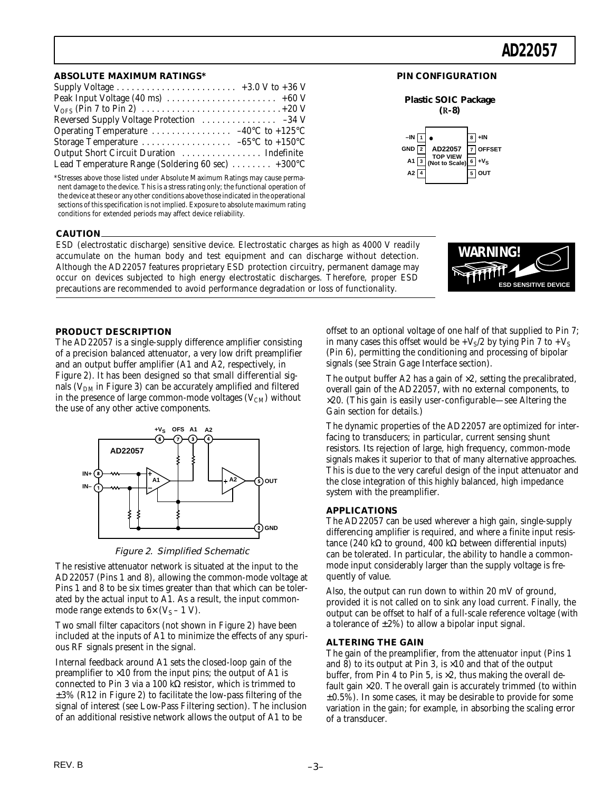#### **ABSOLUTE MAXIMUM RATINGS\***

| Supply Voltage $\dots \dots \dots \dots \dots \dots \dots \dots +3.0$ V to +36 V |  |
|----------------------------------------------------------------------------------|--|
|                                                                                  |  |
|                                                                                  |  |
|                                                                                  |  |
|                                                                                  |  |
|                                                                                  |  |
|                                                                                  |  |
| Lead Temperature Range (Soldering 60 sec) $\dots \dots$ +300°C                   |  |

\*Stresses above those listed under Absolute Maximum Ratings may cause permanent damage to the device. This is a stress rating only; the functional operation of the device at these or any other conditions above those indicated in the operational sections of this specification is not implied. Exposure to absolute maximum rating conditions for extended periods may affect device reliability.

#### **CAUTION**

ESD (electrostatic discharge) sensitive device. Electrostatic charges as high as 4000 V readily accumulate on the human body and test equipment and can discharge without detection. Although the AD22057 features proprietary ESD protection circuitry, permanent damage may occur on devices subjected to high energy electrostatic discharges. Therefore, proper ESD precautions are recommended to avoid performance degradation or loss of functionality.

# **WARNING! ESD SENSITIVE DEVIC**

### **PRODUCT DESCRIPTION**

The AD22057 is a single-supply difference amplifier consisting of a precision balanced attenuator, a very low drift preamplifier and an output buffer amplifier (A1 and A2, respectively, in Figure 2). It has been designed so that small differential signals ( $V<sub>DM</sub>$  in Figure 3) can be accurately amplified and filtered in the presence of large common-mode voltages  $(V_{CM})$  without the use of any other active components.



Figure 2. Simplified Schematic

The resistive attenuator network is situated at the input to the AD22057 (Pins 1 and 8), allowing the common-mode voltage at Pins 1 and 8 to be six times greater than that which can be tolerated by the actual input to A1. As a result, the input commonmode range extends to  $6 \times (V_S - 1 V)$ .

Two small filter capacitors (not shown in Figure 2) have been included at the inputs of A1 to minimize the effects of any spurious RF signals present in the signal.

Internal feedback around A1 sets the closed-loop gain of the preamplifier to  $\times 10$  from the input pins; the output of A1 is connected to Pin 3 via a 100 kΩ resistor, which is trimmed to  $\pm 3\%$  (R12 in Figure 2) to facilitate the low-pass filtering of the signal of interest (see Low-Pass Filtering section). The inclusion of an additional resistive network allows the output of A1 to be

offset to an optional voltage of one half of that supplied to Pin 7; in many cases this offset would be  $+V<sub>S</sub>/2$  by tying Pin 7 to  $+V<sub>S</sub>$ (Pin 6), permitting the conditioning and processing of bipolar signals (see Strain Gage Interface section).

**PIN CONFIGURATION**

**Plastic SOIC Package (R-8)**

> **TOP VIEW (Not to Scale)**

**AD22057**

**1 –IN 2 GND 3 A1 4 A2** **8 7 OFFSET 6 +VS 5 OUT**

**+IN**

The output buffer A2 has a gain of  $\times 2$ , setting the precalibrated, overall gain of the AD22057, with no external components, to  $\times$ 20. (This gain is easily user-configurable—see Altering the Gain section for details.)

The dynamic properties of the AD22057 are optimized for interfacing to transducers; in particular, current sensing shunt resistors. Its rejection of large, high frequency, common-mode signals makes it superior to that of many alternative approaches. This is due to the very careful design of the input attenuator and the close integration of this highly balanced, high impedance system with the preamplifier.

### **APPLICATIONS**

The AD22057 can be used wherever a high gain, single-supply differencing amplifier is required, and where a finite input resistance (240 kΩ to ground, 400 kΩ between differential inputs) can be tolerated. In particular, the ability to handle a commonmode input considerably larger than the supply voltage is frequently of value.

Also, the output can run down to within 20 mV of ground, provided it is not called on to sink any load current. Finally, the output can be offset to half of a full-scale reference voltage (with a tolerance of  $\pm 2\%$ ) to allow a bipolar input signal.

### **ALTERING THE GAIN**

The gain of the preamplifier, from the attenuator input (Pins 1 and 8) to its output at Pin 3, is  $\times$ 10 and that of the output buffer, from Pin 4 to Pin 5, is  $\times 2$ , thus making the overall default gain  $\times 20$ . The overall gain is accurately trimmed (to within  $\pm 0.5$ %). In some cases, it may be desirable to provide for some variation in the gain; for example, in absorbing the scaling error of a transducer.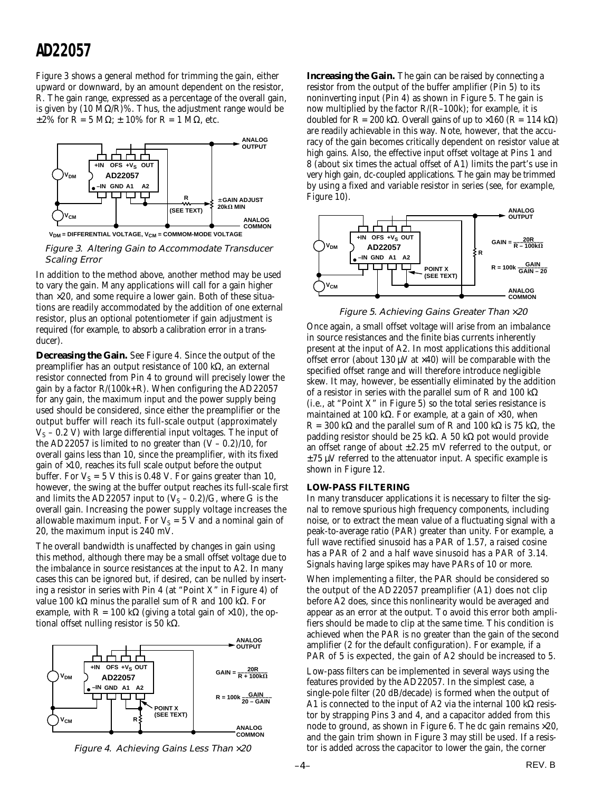Figure 3 shows a general method for trimming the gain, either upward or downward, by an amount dependent on the resistor, R. The gain range, expressed as a percentage of the overall gain, is given by  $(10 MΩ/R)$ %. Thus, the adjustment range would be  $\pm 2\%$  for  $\tilde{R} = 5$  MΩ;  $\pm 10\%$  for  $R = 1$  MΩ, etc.



**V<sub>DM</sub>** = DIFFERENTIAL VOLTAGE, V<sub>CM</sub> = COMMOM-MODE VOLTAGE

Figure 3. Altering Gain to Accommodate Transducer Scaling Error

In addition to the method above, another method may be used to vary the gain. Many applications will call for a gain higher than  $\times$ 20, and some require a lower gain. Both of these situations are readily accommodated by the addition of one external resistor, plus an optional potentiometer if gain adjustment is required (for example, to absorb a calibration error in a transducer).

**Decreasing the Gain.** See Figure 4. Since the output of the preamplifier has an output resistance of 100 kΩ, an external resistor connected from Pin 4 to ground will precisely lower the gain by a factor  $R/(100k+R)$ . When configuring the AD22057 for any gain, the maximum input and the power supply being used should be considered, since either the preamplifier or the output buffer will reach its full-scale output (approximately  $V<sub>S</sub>$  – 0.2 V) with large differential input voltages. The input of the AD22057 is limited to no greater than  $(V - 0.2)/10$ , for overall gains less than 10, since the preamplifier, with its fixed gain of  $\times$ 10, reaches its full scale output before the output buffer. For  $V_s = 5$  V this is 0.48 V. For gains greater than 10, however, the swing at the buffer output reaches its full-scale first and limits the AD22057 input to  $(V<sub>S</sub> - 0.2)/G$ , where G is the overall gain. Increasing the power supply voltage increases the allowable maximum input. For  $V_S = 5$  V and a nominal gain of 20, the maximum input is 240 mV.

The overall bandwidth is unaffected by changes in gain using this method, although there may be a small offset voltage due to the imbalance in source resistances at the input to A2. In many cases this can be ignored but, if desired, can be nulled by inserting a resistor in series with Pin 4 (at "Point X" in Figure 4) of value 100 kΩ minus the parallel sum of R and 100 kΩ. For example, with  $R = 100 \text{ k}\Omega$  (giving a total gain of  $\times 10$ ), the optional offset nulling resistor is 50 kΩ.





**Increasing the Gain.** The gain can be raised by connecting a resistor from the output of the buffer amplifier (Pin 5) to its noninverting input (Pin 4) as shown in Figure 5. The gain is now multiplied by the factor R/(R–100k); for example, it is doubled for R = 200 kΩ. Overall gains of up to  $\times$ 160 (R = 114 kΩ) are readily achievable in this way. Note, however, that the accuracy of the gain becomes critically dependent on resistor value at high gains. Also, the effective input offset voltage at Pins 1 and 8 (about six times the actual offset of A1) limits the part's use in very high gain, dc-coupled applications. The gain may be trimmed by using a fixed and variable resistor in series (see, for example, Figure 10).



Figure 5. Achieving Gains Greater Than ×20

Once again, a small offset voltage will arise from an imbalance in source resistances and the finite bias currents inherently present at the input of A2. In most applications this additional offset error (about 130  $\mu$ V at  $\times$ 40) will be comparable with the specified offset range and will therefore introduce negligible skew. It may, however, be essentially eliminated by the addition of a resistor in series with the parallel sum of R and 100 k $\Omega$  $(i.e., at "Point X" in Figure 5) so the total series resistance is$ maintained at 100 kΩ. For example, at a gain of  $\times 30$ , when R = 300 kΩ and the parallel sum of R and 100 kΩ is 75 kΩ, the padding resistor should be 25 kΩ. A 50 kΩ pot would provide an offset range of about  $\pm 2.25$  mV referred to the output, or  $\pm$ 75  $\mu$ V referred to the attenuator input. A specific example is shown in Figure 12.

#### **LOW-PASS FILTERING**

In many transducer applications it is necessary to filter the signal to remove spurious high frequency components, including noise, or to extract the mean value of a fluctuating signal with a peak-to-average ratio (PAR) greater than unity. For example, a full wave rectified sinusoid has a PAR of 1.57, a raised cosine has a PAR of 2 and a half wave sinusoid has a PAR of 3.14. Signals having large spikes may have PARs of 10 or more.

When implementing a filter, the PAR should be considered so the output of the AD22057 preamplifier (A1) does not clip before A2 does, since this nonlinearity would be averaged and appear as an error at the output. To avoid this error both amplifiers should be made to clip at the same time. This condition is achieved when the PAR is no greater than the gain of the second amplifier (2 for the default configuration). For example, if a PAR of 5 is expected, the gain of A2 should be increased to 5.

Low-pass filters can be implemented in several ways using the features provided by the AD22057. In the simplest case, a single-pole filter (20 dB/decade) is formed when the output of A1 is connected to the input of A2 via the internal 100 kΩ resistor by strapping Pins 3 and 4, and a capacitor added from this node to ground, as shown in Figure 6. The dc gain remains  $\times 20$ , and the gain trim shown in Figure 3 may still be used. If a resistor is added across the capacitor to lower the gain, the corner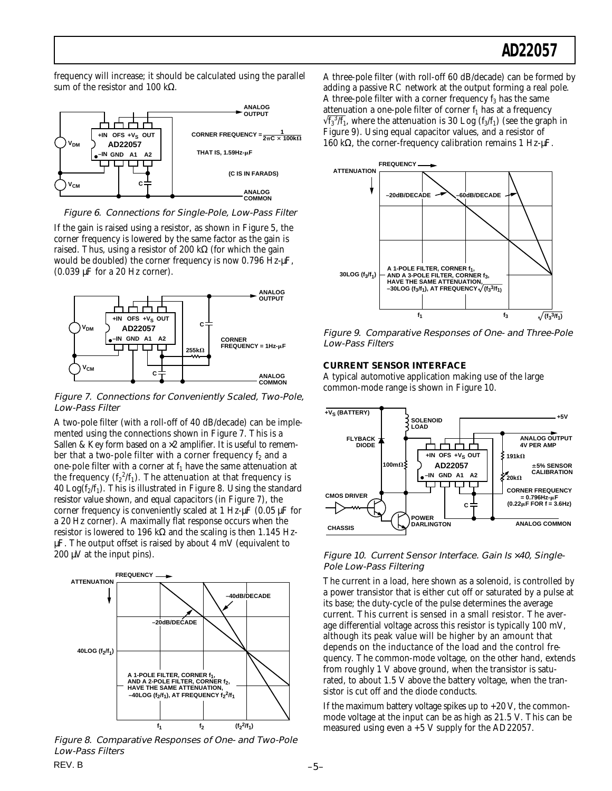frequency will increase; it should be calculated using the parallel sum of the resistor and 100 kΩ.





If the gain is raised using a resistor, as shown in Figure 5, the corner frequency is lowered by the same factor as the gain is raised. Thus, using a resistor of 200 kΩ (for which the gain would be doubled) the corner frequency is now 0.796 Hz- $\mu$ F, (0.039 µF for a 20 Hz corner).



Figure 7. Connections for Conveniently Scaled, Two-Pole, Low-Pass Filter

A two-pole filter (with a roll-off of 40 dB/decade) can be implemented using the connections shown in Figure 7. This is a Sallen & Key form based on a  $\times$ 2 amplifier. It is useful to remember that a two-pole filter with a corner frequency  $f_2$  and a one-pole filter with a corner at  $f_1$  have the same attenuation at the frequency  $({\rm f_2}^2/{\rm f_1})$  . The attenuation at that frequency is 40 Log $(f_2/f_1)$ . This is illustrated in Figure 8. Using the standard resistor value shown, and equal capacitors (in Figure 7), the corner frequency is conveniently scaled at 1 Hz-µF (0.05 µF for a 20 Hz corner). A maximally flat response occurs when the resistor is lowered to 196 kΩ and the scaling is then 1.145 HzµF. The output offset is raised by about 4 mV (equivalent to  $200 \mu V$  at the input pins).



Figure 8. Comparative Responses of One- and Two-Pole Low-Pass Filters

A three-pole filter (with roll-off 60 dB/decade) can be formed by adding a passive RC network at the output forming a real pole. A three-pole filter with a corner frequency  $f_3$  has the same attenuation a one-pole filter of corner  $f_1$  has at a frequency  $\sqrt{f_3^3/f_1}$ , where the attenuation is 30 Log (f<sub>3</sub>/f<sub>1</sub>) (see the graph in Figure 9). Using equal capacitor values, and a resistor of 160 kΩ, the corner-frequency calibration remains 1 Hz-µF.



Figure 9. Comparative Responses of One- and Three-Pole Low-Pass Filters

## **CURRENT SENSOR INTERFACE**

A typical automotive application making use of the large common-mode range is shown in Figure 10.



Figure 10. Current Sensor Interface. Gain Is ×40, Single-Pole Low-Pass Filtering

The current in a load, here shown as a solenoid, is controlled by a power transistor that is either cut off or saturated by a pulse at its base; the duty-cycle of the pulse determines the average current. This current is sensed in a small resistor. The average differential voltage across this resistor is typically 100 mV, although its peak value will be higher by an amount that depends on the inductance of the load and the control frequency. The common-mode voltage, on the other hand, extends from roughly 1 V above ground, when the transistor is saturated, to about 1.5 V above the battery voltage, when the transistor is cut off and the diode conducts.

If the maximum battery voltage spikes up to  $+20$  V, the commonmode voltage at the input can be as high as 21.5 V. This can be measured using even a +5 V supply for the AD22057.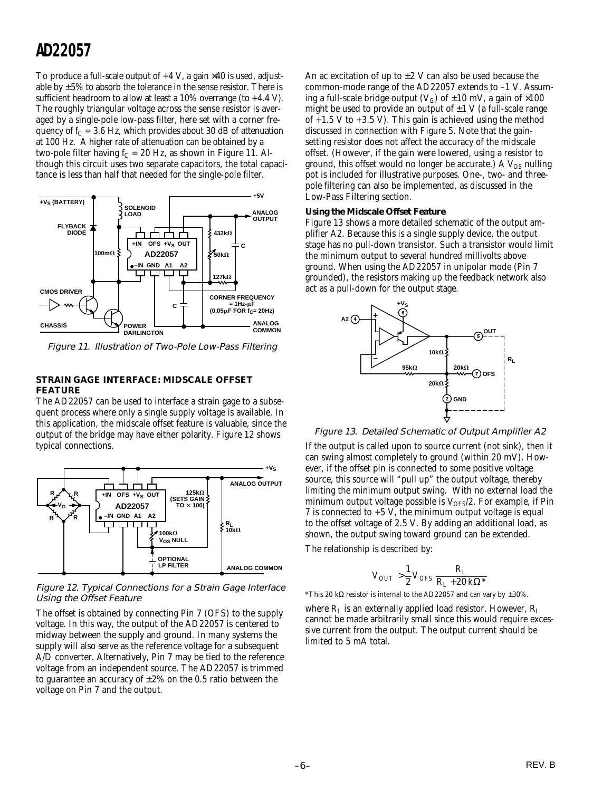To produce a full-scale output of  $+4$  V, a gain  $\times$  40 is used, adjustable by  $\pm 5\%$  to absorb the tolerance in the sense resistor. There is sufficient headroom to allow at least a 10% overrange (to +4.4 V). The roughly triangular voltage across the sense resistor is averaged by a single-pole low-pass filter, here set with a corner frequency of  $f_C = 3.6$  Hz, which provides about 30 dB of attenuation at 100 Hz. A higher rate of attenuation can be obtained by a two-pole filter having  $f_C = 20$  Hz, as shown in Figure 11. Although this circuit uses two separate capacitors, the total capacitance is less than half that needed for the single-pole filter.



Figure 11. Illustration of Two-Pole Low-Pass Filtering

## **STRAIN GAGE INTERFACE: MIDSCALE OFFSET FEATURE**

The AD22057 can be used to interface a strain gage to a subsequent process where only a single supply voltage is available. In this application, the midscale offset feature is valuable, since the output of the bridge may have either polarity. Figure 12 shows typical connections.



Figure 12. Typical Connections for a Strain Gage Interface Using the Offset Feature

The offset is obtained by connecting Pin 7 (OFS) to the supply voltage. In this way, the output of the AD22057 is centered to midway between the supply and ground. In many systems the supply will also serve as the reference voltage for a subsequent A/D converter. Alternatively, Pin 7 may be tied to the reference voltage from an independent source. The AD22057 is trimmed to guarantee an accuracy of  $\pm 2\%$  on the 0.5 ratio between the voltage on Pin 7 and the output.

An ac excitation of up to  $\pm 2$  V can also be used because the common-mode range of the AD22057 extends to –1 V. Assuming a full-scale bridge output ( $V_G$ ) of  $\pm 10$  mV, a gain of  $\times 100$ might be used to provide an output of  $\pm 1$  V (a full-scale range of  $+1.5$  V to  $+3.5$  V). This gain is achieved using the method discussed in connection with Figure 5. Note that the gainsetting resistor does not affect the accuracy of the midscale offset. (However, if the gain were lowered, using a resistor to ground, this offset would no longer be accurate.) A  $V_{OS}$  nulling pot is included for illustrative purposes. One-, two- and threepole filtering can also be implemented, as discussed in the Low-Pass Filtering section.

#### **Using the Midscale Offset Feature**

Figure 13 shows a more detailed schematic of the output amplifier A2. Because this is a single supply device, the output stage has no pull-down transistor. Such a transistor would limit the minimum output to several hundred millivolts above ground. When using the AD22057 in unipolar mode (Pin 7 grounded), the resistors making up the feedback network also act as a pull-down for the output stage.



Figure 13. Detailed Schematic of Output Amplifier A2

If the output is called upon to source current (not sink), then it can swing almost completely to ground (within 20 mV). However, if the offset pin is connected to some positive voltage source, this source will "pull up" the output voltage, thereby limiting the minimum output swing. With no external load the minimum output voltage possible is  $V_{OFS}/2$ . For example, if Pin 7 is connected to  $+5$  V, the minimum output voltage is equal to the offset voltage of 2.5 V. By adding an additional load, as shown, the output swing toward ground can be extended.

The relationship is described by:

$$
V_{OUT}>\frac{1}{2}\,V_{OFS}\frac{R_L}{R_L+20\,k\Omega^*}
$$

<sup>\*</sup>This 20 kΩ resistor is internal to the AD22057 and can vary by  $\pm 30\%$ .

where  $R_L$  is an externally applied load resistor. However,  $R_L$ cannot be made arbitrarily small since this would require excessive current from the output. The output current should be limited to 5 mA total.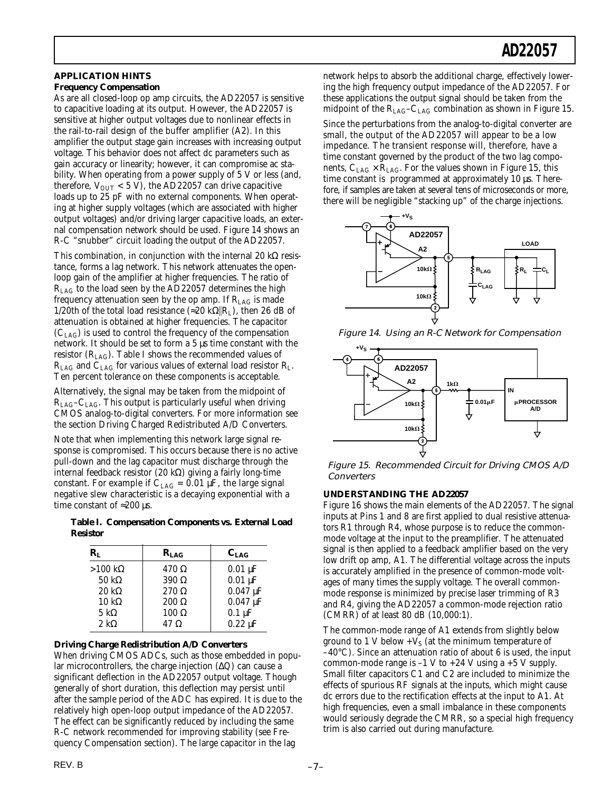#### **APPLICATION HINTS Frequency Compensation**

As are all closed-loop op amp circuits, the AD22057 is sensitive to capacitive loading at its output. However, the AD22057 is sensitive at higher output voltages due to nonlinear effects in the rail-to-rail design of the buffer amplifier (A2). In this amplifier the output stage gain increases with increasing output voltage. This behavior does not affect dc parameters such as gain accuracy or linearity; however, it can compromise ac stability. When operating from a power supply of 5 V or less (and, therefore,  $V_{OUT}$  < 5 V), the AD22057 can drive capacitive loads up to 25 pF with no external components. When operating at higher supply voltages (which are associated with higher output voltages) and/or driving larger capacitive loads, an external compensation network should be used. Figure 14 shows an R-C "snubber" circuit loading the output of the AD22057.

This combination, in conjunction with the internal 20 kΩ resistance, forms a lag network. This network attenuates the openloop gain of the amplifier at higher frequencies. The ratio of  $R_{\text{LAG}}$  to the load seen by the AD22057 determines the high frequency attenuation seen by the op amp. If  $R_{LAG}$  is made 1/20th of the total load resistance (≈20 k $\Omega$ ||R<sub>1</sub>), then 26 dB of attenuation is obtained at higher frequencies. The capacitor  $(C_{LAG})$  is used to control the frequency of the compensation network. It should be set to form a 5 µs time constant with the resistor  $(R_{LAG})$ . Table I shows the recommended values of  $R_{\text{LAG}}$  and  $C_{\text{LAG}}$  for various values of external load resistor  $R_{\text{L}}$ . Ten percent tolerance on these components is acceptable.

Alternatively, the signal may be taken from the midpoint of  $R_{LAG}$ – $C_{LAG}$ . This output is particularly useful when driving CMOS analog-to-digital converters. For more information see the section Driving Charged Redistributed A/D Converters.

Note that when implementing this network large signal response is compromised. This occurs because there is no active pull-down and the lag capacitor must discharge through the internal feedback resistor (20 kΩ) giving a fairly long-time constant. For example if  $C_{LAG} = 0.01 \mu F$ , the large signal negative slew characteristic is a decaying exponential with a time constant of  $\approx 200 \,\mu s$ .

**Table I. Compensation Components vs. External Load Resistor**

| $\mathbf{R}_{\mathrm{L}}$ | $R_{\rm I, 4G}$ | $C_{LAG}$                  |
|---------------------------|-----------------|----------------------------|
| $>100 \text{ k}\Omega$    | $470 \Omega$    | $0.01 \mu F$               |
| 50 k $\Omega$             | $390 \Omega$    | $0.01 \mu F$               |
| $20 \text{ k}\Omega$      | $270 \Omega$    | $0.047 \,\mathrm{\upmu F}$ |
| $10 \text{ k}\Omega$      | $200 \Omega$    | $0.047 \,\mathrm{\upmu F}$ |
| 5 k $\Omega$              | $100 \Omega$    | $0.1 \mu F$                |
| 2 k $\Omega$              | $47 \Omega$     | $0.22 \mu F$               |

### **Driving Charge Redistribution A/D Converters**

When driving CMOS ADCs, such as those embedded in popular microcontrollers, the charge injection (∆Q) can cause a significant deflection in the AD22057 output voltage. Though generally of short duration, this deflection may persist until after the sample period of the ADC has expired. It is due to the relatively high open-loop output impedance of the AD22057. The effect can be significantly reduced by including the same R-C network recommended for improving stability (see Frequency Compensation section). The large capacitor in the lag

network helps to absorb the additional charge, effectively lowering the high frequency output impedance of the AD22057. For these applications the output signal should be taken from the midpoint of the R<sub>LAG</sub>–C<sub>LAG</sub> combination as shown in Figure 15.

Since the perturbations from the analog-to-digital converter are small, the output of the AD22057 will appear to be a low impedance. The transient response will, therefore, have a time constant governed by the product of the two lag components,  $C_{LAG} \times R_{LAG}$ . For the values shown in Figure 15, this time constant is programmed at approximately 10 µs. Therefore, if samples are taken at several tens of microseconds or more, there will be negligible "stacking up" of the charge injections.



Figure 14. Using an R-C Network for Compensation



Figure 15. Recommended Circuit for Driving CMOS A/D **Converters** 

## **UNDERSTANDING THE AD22057**

Figure 16 shows the main elements of the AD22057. The signal inputs at Pins 1 and 8 are first applied to dual resistive attenuators R1 through R4, whose purpose is to reduce the commonmode voltage at the input to the preamplifier. The attenuated signal is then applied to a feedback amplifier based on the very low drift op amp, A1. The differential voltage across the inputs is accurately amplified in the presence of common-mode voltages of many times the supply voltage. The overall commonmode response is minimized by precise laser trimming of R3 and R4, giving the AD22057 a common-mode rejection ratio (CMRR) of at least 80 dB (10,000:1).

The common-mode range of A1 extends from slightly below ground to 1 V below  $+V_S$  (at the minimum temperature of  $-40^{\circ}$ C). Since an attenuation ratio of about 6 is used, the input common-mode range is  $-1$  V to  $+24$  V using a  $+5$  V supply. Small filter capacitors C1 and C2 are included to minimize the effects of spurious RF signals at the inputs, which might cause dc errors due to the rectification effects at the input to A1. At high frequencies, even a small imbalance in these components would seriously degrade the CMRR, so a special high frequency trim is also carried out during manufacture.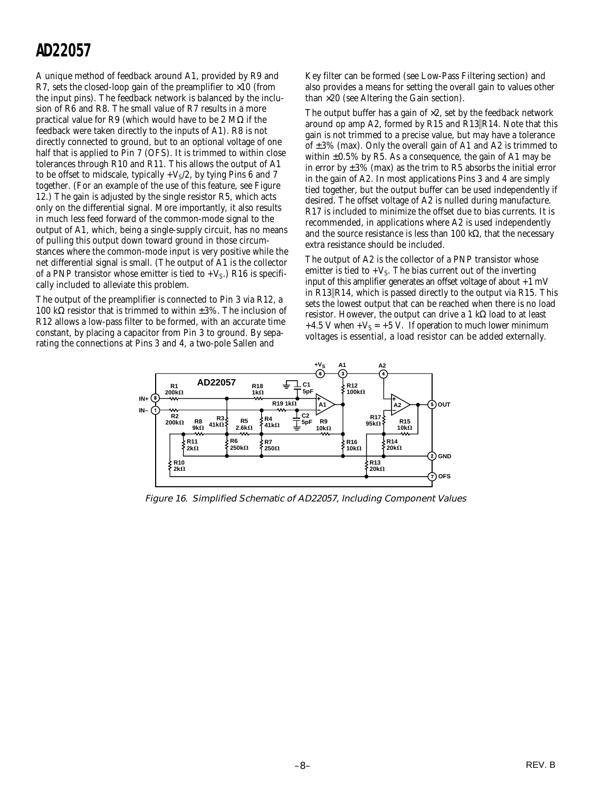A unique method of feedback around A1, provided by R9 and R7, sets the closed-loop gain of the preamplifier to  $\times 10$  (from the input pins). The feedback network is balanced by the inclusion of R6 and R8. The small value of R7 results in a more practical value for R9 (which would have to be 2 MΩ if the feedback were taken directly to the inputs of A1). R8 is not directly connected to ground, but to an optional voltage of one half that is applied to Pin 7 (OFS). It is trimmed to within close tolerances through R10 and R11. This allows the output of A1 to be offset to midscale, typically  $+V_S/2$ , by tying Pins 6 and 7 together. (For an example of the use of this feature, see Figure 12.) The gain is adjusted by the single resistor R5, which acts only on the differential signal. More importantly, it also results in much less feed forward of the common-mode signal to the output of A1, which, being a single-supply circuit, has no means of pulling this output down toward ground in those circumstances where the common-mode input is very positive while the net differential signal is small. (The output of A1 is the collector of a PNP transistor whose emitter is tied to  $+V_s$ .) R16 is specifically included to alleviate this problem.

The output of the preamplifier is connected to Pin 3 via R12, a 100 kΩ resistor that is trimmed to within  $\pm 3\%$ . The inclusion of R12 allows a low-pass filter to be formed, with an accurate time constant, by placing a capacitor from Pin 3 to ground. By separating the connections at Pins 3 and 4, a two-pole Sallen and

Key filter can be formed (see Low-Pass Filtering section) and also provides a means for setting the overall gain to values other than  $\times$ 20 (see Altering the Gain section).

The output buffer has a gain of  $\times 2$ , set by the feedback network around op amp A2, formed by R15 and R13  $\|$ R14. Note that this gain is not trimmed to a precise value, but may have a tolerance of  $\pm 3\%$  (max). Only the overall gain of A1 and A2 is trimmed to within  $\pm 0.5\%$  by R5. As a consequence, the gain of A1 may be in error by  $\pm 3\%$  (max) as the trim to R5 absorbs the initial error in the gain of A2. In most applications Pins 3 and 4 are simply tied together, but the output buffer can be used independently if desired. The offset voltage of A2 is nulled during manufacture. R17 is included to minimize the offset due to bias currents. It is recommended, in applications where A2 is used independently and the source resistance is less than 100 kΩ, that the necessary extra resistance should be included.

The output of A2 is the collector of a PNP transistor whose emitter is tied to  $+V_s$ . The bias current out of the inverting input of this amplifier generates an offset voltage of about  $+1$  mV in  $R13\|R14$ , which is passed directly to the output via R15. This sets the lowest output that can be reached when there is no load resistor. However, the output can drive a 1 kΩ load to at least +4.5 V when + $V_s$  = +5 V. If operation to much lower minimum voltages is essential, a load resistor can be added externally.



Figure 16. Simplified Schematic of AD22057, Including Component Values